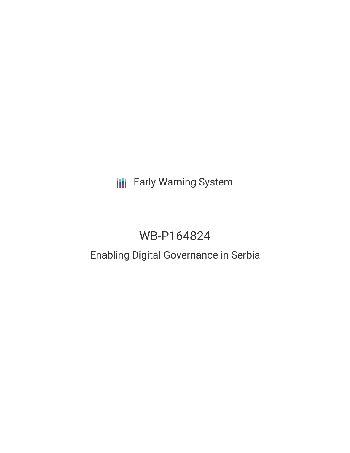**III** Early Warning System

# WB-P164824

## Enabling Digital Governance in Serbia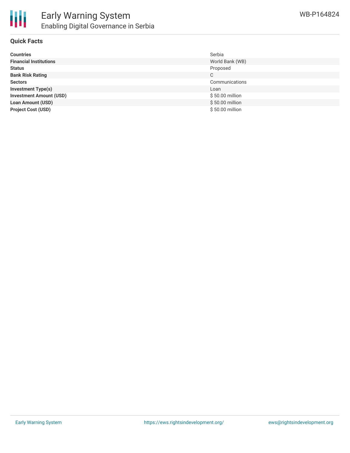

### **Quick Facts**

| <b>Countries</b>               | Serbia           |
|--------------------------------|------------------|
| <b>Financial Institutions</b>  | World Bank (WB)  |
| <b>Status</b>                  | Proposed         |
| <b>Bank Risk Rating</b>        | C                |
| <b>Sectors</b>                 | Communications   |
| <b>Investment Type(s)</b>      | Loan             |
| <b>Investment Amount (USD)</b> | $$50.00$ million |
| <b>Loan Amount (USD)</b>       | $$50.00$ million |
| <b>Project Cost (USD)</b>      | $$50.00$ million |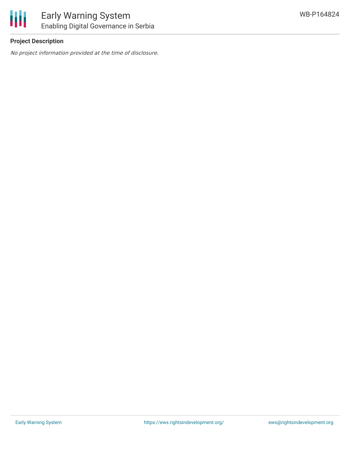

## **Project Description**

No project information provided at the time of disclosure.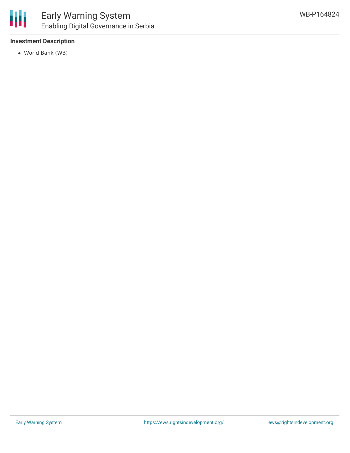## **Investment Description**

World Bank (WB)